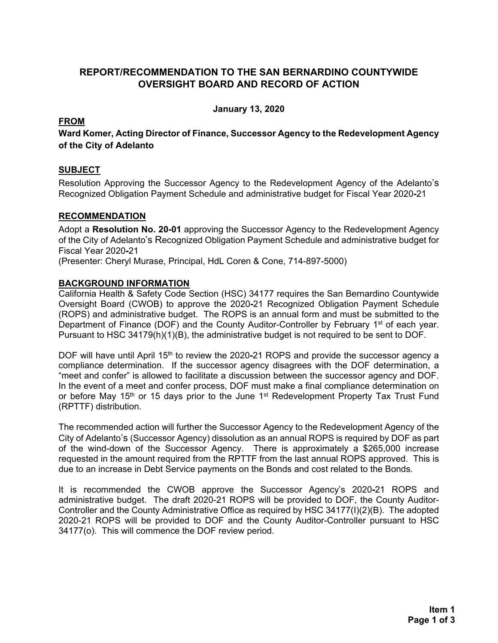# **REPORT/RECOMMENDATION TO THE SAN BERNARDINO COUNTYWIDE OVERSIGHT BOARD AND RECORD OF ACTION**

**January 13, 2020** 

## **FROM**

**Ward Komer, Acting Director of Finance, Successor Agency to the Redevelopment Agency of the City of Adelanto**

### **SUBJECT**

Resolution Approving the Successor Agency to the Redevelopment Agency of the Adelanto's Recognized Obligation Payment Schedule and administrative budget for Fiscal Year 2020-21

#### **RECOMMENDATION**

Adopt a **Resolution No. 20-01** approving the Successor Agency to the Redevelopment Agency of the City of Adelanto's Recognized Obligation Payment Schedule and administrative budget for Fiscal Year 2020**-**21

(Presenter: Cheryl Murase, Principal, HdL Coren & Cone, 714-897-5000)

#### **BACKGROUND INFORMATION**

California Health & Safety Code Section (HSC) 34177 requires the San Bernardino Countywide Oversight Board (CWOB) to approve the 2020**-**21 Recognized Obligation Payment Schedule (ROPS) and administrative budget. The ROPS is an annual form and must be submitted to the Department of Finance (DOF) and the County Auditor-Controller by February 1<sup>st</sup> of each year. Pursuant to HSC 34179(h)(1)(B), the administrative budget is not required to be sent to DOF.

DOF will have until April 15th to review the 2020**-**21 ROPS and provide the successor agency a compliance determination. If the successor agency disagrees with the DOF determination, a "meet and confer" is allowed to facilitate a discussion between the successor agency and DOF. In the event of a meet and confer process, DOF must make a final compliance determination on or before May 15<sup>th</sup> or 15 days prior to the June 1<sup>st</sup> Redevelopment Property Tax Trust Fund (RPTTF) distribution.

The recommended action will further the Successor Agency to the Redevelopment Agency of the City of Adelanto's (Successor Agency) dissolution as an annual ROPS is required by DOF as part of the wind-down of the Successor Agency. There is approximately a \$265,000 increase requested in the amount required from the RPTTF from the last annual ROPS approved. This is due to an increase in Debt Service payments on the Bonds and cost related to the Bonds.

It is recommended the CWOB approve the Successor Agency's 2020**-**21 ROPS and administrative budget. The draft 2020-21 ROPS will be provided to DOF, the County Auditor-Controller and the County Administrative Office as required by HSC 34177(I)(2)(B). The adopted 2020-21 ROPS will be provided to DOF and the County Auditor-Controller pursuant to HSC 34177(o). This will commence the DOF review period.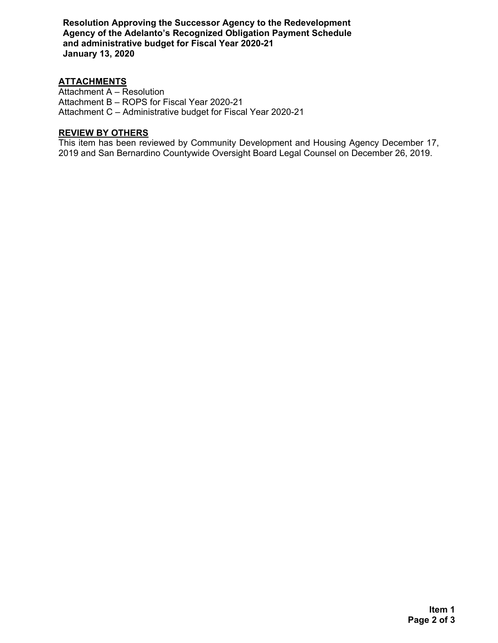**Resolution Approving the Successor Agency to the Redevelopment Agency of the Adelanto's Recognized Obligation Payment Schedule and administrative budget for Fiscal Year 2020-21 January 13, 2020**

#### **ATTACHMENTS**

Attachment A – Resolution Attachment B – ROPS for Fiscal Year 2020-21 Attachment C – Administrative budget for Fiscal Year 2020-21

### **REVIEW BY OTHERS**

This item has been reviewed by Community Development and Housing Agency December 17, 2019 and San Bernardino Countywide Oversight Board Legal Counsel on December 26, 2019.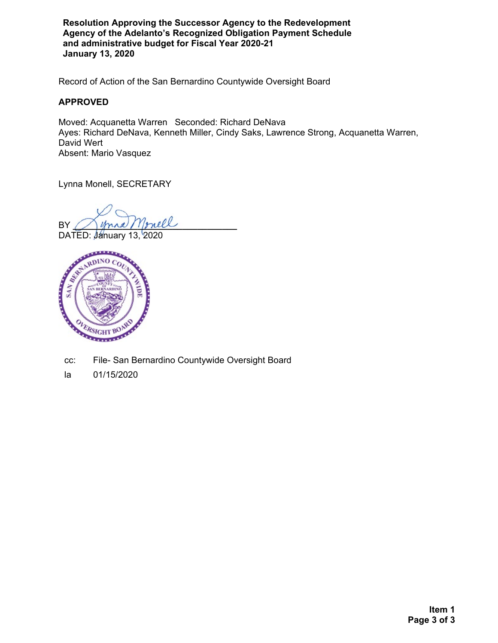**Resolution Approving the Successor Agency to the Redevelopment Agency of the Adelanto's Recognized Obligation Payment Schedule and administrative budget for Fiscal Year 2020-21 January 13, 2020**

Record of Action of the San Bernardino Countywide Oversight Board

#### **APPROVED**

Moved: Acquanetta Warren Seconded: Richard DeNava Ayes: Richard DeNava, Kenneth Miller, Cindy Saks, Lawrence Strong, Acquanetta Warren, David Wert Absent: Mario Vasquez

Lynna Monell, SECRETARY

 $BY$  mana / 1prell

DATED: January 13, 2020



cc: File- San Bernardino Countywide Oversight Board

la 01/15/2020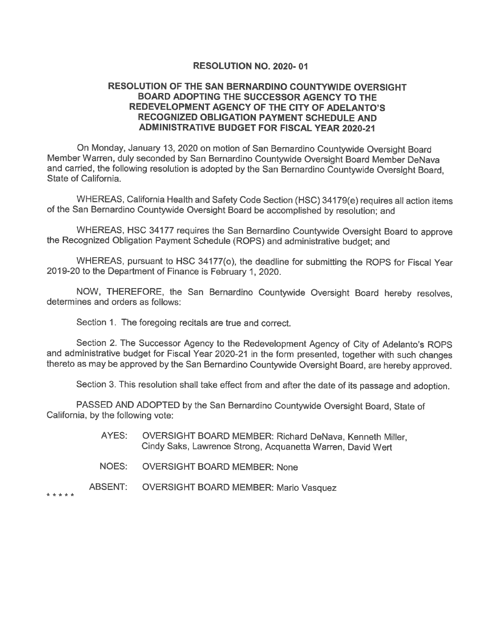#### RESOLUTION NO. 2020-01

#### RESOLUTION OF THE SAN BERNARDINO COUNTYWIDE OVERSIGHT **BOARD ADOPTING THE SUCCESSOR AGENCY TO THE** REDEVELOPMENT AGENCY OF THE CITY OF ADELANTO'S **RECOGNIZED OBLIGATION PAYMENT SCHEDULE AND ADMINISTRATIVE BUDGET FOR FISCAL YEAR 2020-21**

On Monday, January 13, 2020 on motion of San Bernardino Countywide Oversight Board Member Warren, duly seconded by San Bernardino Countywide Oversight Board Member DeNava and carried, the following resolution is adopted by the San Bernardino Countywide Oversight Board, State of California.

WHEREAS, California Health and Safety Code Section (HSC) 34179(e) requires all action items of the San Bernardino Countywide Oversight Board be accomplished by resolution; and

WHEREAS, HSC 34177 requires the San Bernardino Countywide Oversight Board to approve the Recognized Obligation Payment Schedule (ROPS) and administrative budget; and

WHEREAS, pursuant to HSC 34177(o), the deadline for submitting the ROPS for Fiscal Year 2019-20 to the Department of Finance is February 1, 2020.

NOW, THEREFORE, the San Bernardino Countywide Oversight Board hereby resolves, determines and orders as follows:

Section 1. The foregoing recitals are true and correct.

Section 2. The Successor Agency to the Redevelopment Agency of City of Adelanto's ROPS and administrative budget for Fiscal Year 2020-21 in the form presented, together with such changes thereto as may be approved by the San Bernardino Countywide Oversight Board, are hereby approved.

Section 3. This resolution shall take effect from and after the date of its passage and adoption.

PASSED AND ADOPTED by the San Bernardino Countywide Oversight Board, State of California, by the following vote:

- AYES: OVERSIGHT BOARD MEMBER: Richard DeNava, Kenneth Miller, Cindy Saks, Lawrence Strong, Acquanetta Warren, David Wert
- NOES: **OVERSIGHT BOARD MEMBER: None**

\* \* \* \* \*

ABSENT: **OVERSIGHT BOARD MEMBER: Mario Vasquez**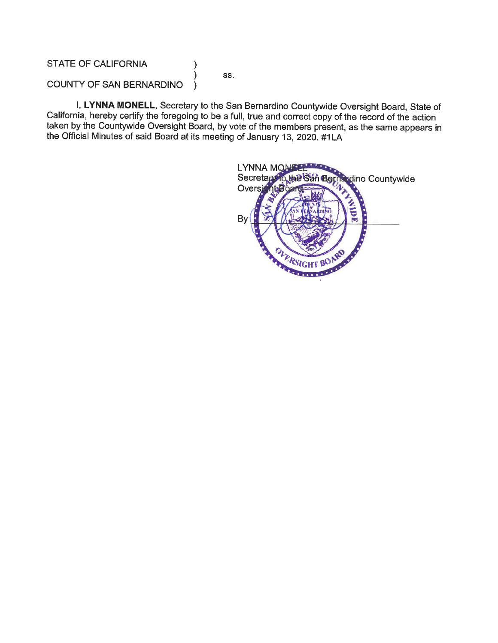# **STATE OF CALIFORNIA**

SS.

 $\lambda$ 

 $\mathcal{F}$ 

COUNTY OF SAN BERNARDINO  $\lambda$ 

I, LYNNA MONELL, Secretary to the San Bernardino Countywide Oversight Board, State of California, hereby certify the foregoing to be a full, true and correct copy of the record of the action taken by the Countywide Oversight Board, by vote of the members present, as the same appears in the Official Minutes of said Board at its meeting of January 13, 2020. #1LA

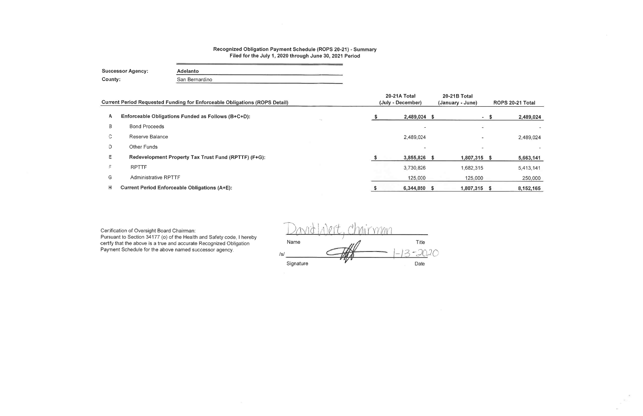#### Recognized Obligation Payment Schedule (ROPS 20-21) - Summary Filed for the July 1, 2020 through June 30, 2021 Period

**Successor Agency:** Adelanto County: San Bernardino

|    | Current Period Requested Funding for Enforceable Obligations (ROPS Detail) | 20-21A Total<br>(July - December) | 20-21B Total<br>(January - June) |                          | ROPS 20-21 Total |
|----|----------------------------------------------------------------------------|-----------------------------------|----------------------------------|--------------------------|------------------|
|    |                                                                            |                                   |                                  |                          |                  |
| A  | Enforceable Obligations Funded as Follows (B+C+D):                         | 2,489,024 \$                      |                                  | - S                      | 2,489,024        |
| B  | <b>Bond Proceeds</b>                                                       | $\sim$                            |                                  | $\overline{\phantom{0}}$ |                  |
| C. | Reserve Balance                                                            | 2,489,024                         | $\overline{\phantom{a}}$         |                          | 2,489,024        |
| D  | Other Funds                                                                | $\overline{\phantom{0}}$          |                                  |                          |                  |
| E  | Redevelopment Property Tax Trust Fund (RPTTF) (F+G):                       | 3,855,826                         | 1,807,315 \$                     |                          | 5,663,141        |
| F. | <b>RPTTF</b>                                                               | 3,730,826                         | 1,682,315                        |                          | 5,413,141        |
| G  | <b>Administrative RPTTF</b>                                                | 125,000                           | 125,000                          |                          | 250,000          |
| н  | <b>Current Period Enforceable Obligations (A+E):</b>                       | $6,344,850$ \$                    | 1,807,315 \$                     |                          | 8,152,165        |
|    |                                                                            |                                   |                                  |                          |                  |

Certification of Oversight Board Chairman:

Pursuant to Section 34177 (o) of the Health and Safety code, I hereby certify that the above is a true and accurate Recognized Obligation Payment Schedule for the above named successor agency.

Mirman Name Title  $-20.20$  $/s/$ Signature Date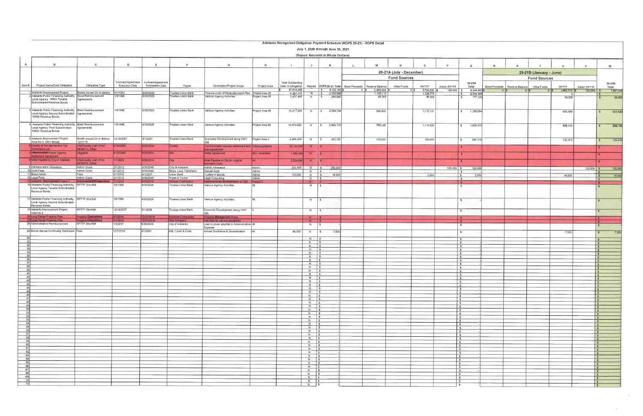|                       |                                                                                              |                                                        |                       |                                         |                                          |                                                                                     |                 |                          |                                |                                         | Adelanto Recognized Obligation Payment Schedule (ROPS 20-21) - ROPS Detail |                          |                                           |              |                                          |               |                 |                         |              |                               |                               |
|-----------------------|----------------------------------------------------------------------------------------------|--------------------------------------------------------|-----------------------|-----------------------------------------|------------------------------------------|-------------------------------------------------------------------------------------|-----------------|--------------------------|--------------------------------|-----------------------------------------|----------------------------------------------------------------------------|--------------------------|-------------------------------------------|--------------|------------------------------------------|---------------|-----------------|-------------------------|--------------|-------------------------------|-------------------------------|
|                       |                                                                                              |                                                        |                       |                                         |                                          |                                                                                     |                 |                          |                                | July 1, 2020 through June 30, 2021      |                                                                            |                          |                                           |              |                                          |               |                 |                         |              |                               |                               |
|                       |                                                                                              |                                                        |                       |                                         |                                          |                                                                                     |                 |                          |                                | (Report Amounts in Whole Dollars)       |                                                                            |                          |                                           |              |                                          |               |                 |                         |              |                               |                               |
|                       |                                                                                              |                                                        |                       |                                         |                                          |                                                                                     |                 |                          |                                |                                         |                                                                            |                          |                                           |              |                                          |               |                 |                         |              |                               |                               |
| $\overline{A}$        | $\mathbf{B}$                                                                                 | $\mathbf{C}$                                           | $\mathsf{D}$          | E                                       |                                          | $\mathbf{G}$                                                                        | H               |                          | J                              | к                                       | <b>M</b>                                                                   |                          | $\circ$                                   |              | $\mathsf Q$                              | R             |                 |                         |              |                               | W                             |
|                       |                                                                                              |                                                        |                       |                                         |                                          |                                                                                     |                 |                          |                                |                                         |                                                                            | 20-21A (July - December) |                                           |              |                                          |               |                 | 20-21B (January - June) |              |                               |                               |
|                       |                                                                                              |                                                        |                       |                                         |                                          |                                                                                     |                 |                          |                                |                                         |                                                                            | <b>Fund Sources</b>      |                                           |              |                                          |               |                 | <b>Fund Sources</b>     |              |                               |                               |
|                       |                                                                                              |                                                        |                       | Contract/Agreement   Contract/Agreement |                                          |                                                                                     |                 | <b>Total Outstanding</b> |                                |                                         |                                                                            |                          |                                           |              | 20-21A                                   |               |                 |                         |              |                               | 20-21B                        |
| Item #                | Project Name/Debt Obligation                                                                 | Obligation Type                                        | <b>Execution Date</b> | Termination Date                        | Payee                                    | Description/Project Scope                                                           | Project Area    | Debt or Obligation       |                                |                                         | Retired ROPS 20-21 Total Bond Proceeds<br>Reserve Balance                  | Other Funds              | <b>RPTTF</b>                              | Admin RPTTF  | Total                                    | Bond Proceeds | Reserve Balance | Other Funds             | <b>RPTTF</b> | Admin RPTTF                   | Total                         |
|                       | 1 Adelanto Improvement Project.                                                              | Bonds Issued On or Before                              | 1/1/1993              | 6/30/2024                               | rustee-Union Bank                        | Finance costs of Redevelopment Plan Project Area 95                                 |                 | 87,814,298<br>4,901,100  | $N =$ $\sqrt{S}$               | $\frac{1}{5}$ 8,152,165 \$<br>2.334.888 | 2,489,024<br>1.108.113                                                     |                          | 3,730,826<br>0 <sup>15</sup><br>1.226,775 | $125,000$ \$ | 6,344,850<br>2.334.888<br>- \$           |               |                 |                         | 1,682,315    | $125,000$ \$                  | 1,807,315                     |
|                       | Adelanto Public Financing Authority,<br>Local Agency 1995A Taxable                           | Bond Reimbursement<br>Agreements                       | 1/9/1996              | 6/30/2026                               | Trustee-Union Bank                       | Various Agency Activities                                                           | roject Area 95  | 3,437,400                | N                              | 265,680                                 |                                                                            | 88,560                   | 88,560                                    |              | 177,120<br>S.                            |               |                 |                         | 88,560       |                               | 88,560                        |
|                       | Subordinated Revenue Bonds                                                                   |                                                        |                       |                                         |                                          |                                                                                     |                 |                          |                                |                                         |                                                                            |                          |                                           |              |                                          |               |                 |                         |              |                               |                               |
|                       | Adelanto Public Financing Authority, Bond Reimbursement                                      |                                                        | 1/9/1996              | 6/30/2026                               | Trustee-Union Bank                       |                                                                                     |                 |                          |                                |                                         |                                                                            |                          |                                           |              |                                          |               |                 |                         |              |                               |                               |
|                       | Local Agency Second Subordinated Agreements                                                  |                                                        |                       |                                         |                                          | Various Agency Activities                                                           | Project Area 95 | 15,217,285               |                                | N \$ 2,364,744                          | 586,903                                                                    |                          | 1,172,151                                 |              | \$ 1,759,054                             |               |                 |                         | 605,690      |                               | 605,690                       |
|                       | 1995B Revenue Bonds                                                                          |                                                        |                       |                                         |                                          |                                                                                     |                 |                          |                                |                                         |                                                                            |                          |                                           |              |                                          |               |                 |                         |              |                               |                               |
|                       | Adelanto Public Financing Authority, Bond Reimbursement                                      |                                                        | 1/9/1996              | 6/30/2026                               | Trustee-Union Bank                       | Various Agency Activities                                                           | Project Area 95 | 16,619,692               | N                              | \$2,489,723                             | 535,148                                                                    |                          | 1,115,425                                 |              | \$ 1,650,573                             |               |                 |                         | 839,150      |                               | 839,150<br>$\mathsf{s}$       |
|                       | Local Agency Third Subordinated<br>1995C Revenue Bonds                                       | Agreements                                             |                       |                                         |                                          |                                                                                     |                 |                          |                                |                                         |                                                                            |                          |                                           |              |                                          |               |                 |                         |              |                               |                               |
|                       |                                                                                              |                                                        |                       |                                         |                                          |                                                                                     |                 |                          |                                |                                         |                                                                            |                          |                                           |              |                                          |               |                 |                         |              |                               |                               |
|                       | Adelanto Improvement Project,<br>Area No.3. 2007 Bonds                                       | Bonds Issued On or Before<br>12/31/10                  | 12/19/2007            | 9/1/2037                                | Trustee-Union Bank                       | Economic Development along HWY                                                      | Project Area 3  | 4,489,430                | N                              | 421,130<br> s                           | 170,300                                                                    |                          | 125,415                                   |              | 295,715<br>$\sqrt{2}$                    |               |                 |                         | 125,415      |                               | 125,41<br>$\mathbf{s}$        |
|                       | County of San Bernardino Tax                                                                 | City/County Loan (Prior                                | 6/18/2005             | 6/30/2014                               | County                                   | 395<br>Tax Increment loan per settlement and Various projects                       |                 | 38,144,206               | N                              | ΙS                                      |                                                                            |                          |                                           |              | ∣s.                                      |               |                 |                         |              |                               |                               |
|                       | ncrement Loan                                                                                | 06/28/11), Other                                       |                       |                                         |                                          | loan agreement                                                                      |                 |                          |                                |                                         |                                                                            |                          |                                           |              |                                          |               |                 |                         |              |                               |                               |
|                       | Internicuntain Power Agency<br>Settlement Agreement                                          | Litigation                                             | 6/15/2005             | 6/30/2014                               |                                          | Settle Agreement                                                                    | 80-1 Amended    | 1,989,390                | N.                             |                                         |                                                                            |                          |                                           |              | <b>S</b>                                 |               |                 |                         |              |                               |                               |
|                       | Note Payable to City of Adelanto                                                             | City/County Loan (Prior                                | 1/1/2003              | 6/30/2014                               | City                                     | Note Payable to City for original                                                   |                 | 2,524,245                | N                              |                                         |                                                                            |                          |                                           |              |                                          |               |                 |                         |              |                               |                               |
|                       | 9 Administration Allowance                                                                   | 06/28/11), Other<br>Admin Costs                        | 2/1/2012              | 6/30/2049                               | City of Adelanto                         | formation costs<br>Admin Allowance                                                  | Admin           | 250,000                  | $N$ $\sqrt{S}$                 | 250,000                                 |                                                                            |                          |                                           | $125,000$ \$ | 125,000                                  |               |                 |                         |              |                               |                               |
|                       | 10 Audit Fees                                                                                | Admin Costs                                            | 2/1/2012              | 6/30/2049                               | Moss, Levy, Hartzheim                    | Annual Audit                                                                        | Admin           |                          | $N$ $\sqrt{s}$                 |                                         |                                                                            |                          |                                           |              | - 5                                      |               |                 |                         |              | $125,000$ \$                  | 125,00                        |
|                       | 11 Bond Admin<br>12 Legal Fees                                                               | Fees<br>Admin Costs                                    | 2/1/2012<br>2/1/2012  | 9/1/2037<br>6/30/2049                   | Union Bank<br>Rutan & Tucker             | <b>Trustee of Bonds</b><br>Legal Consulting                                         | Admin<br>Admin  | 153,000                  | $N$ $\sqrt{S}$<br>$N$ $S$      | 18,500                                  |                                                                            |                          | 2,500                                     |              | <b>S</b><br>2,500                        |               |                 |                         | 16,000       |                               | 16,000<br>$\vert$ s           |
|                       | 15 Adelanto Improvement Project 3                                                            | nprovement/Infrastructure 1/1/2014                     |                       | 0/2014                                  | arious Contractors                       | improvements developments on 395                                                    | Project 3       |                          |                                |                                         |                                                                            |                          |                                           |              | $\sqrt{s}$<br>$\sim$                     |               |                 |                         |              |                               | l s<br>$\sqrt{2}$             |
|                       | 16 Adelanto Public Financing Authority, RPTTF Shortfall<br>Local Agency Taxable Subordinated |                                                        | 1/9/1996              | 6/30/2026                               | Trustee-Union Bank                       | Various Agency Activities                                                           | 95              |                          | N                              | $\frac{1}{2}$                           |                                                                            |                          |                                           |              | S                                        |               |                 |                         |              |                               |                               |
|                       | Revenue Bonds                                                                                |                                                        |                       |                                         |                                          |                                                                                     |                 |                          |                                |                                         |                                                                            |                          |                                           |              |                                          |               |                 |                         |              |                               |                               |
|                       | 7 Adelanto Public Financing Authority, RPTTF Shortfall                                       |                                                        | 1/9/1996              | 6/30/2026                               | Trustee-Union Bank                       | Various Agency Activities                                                           |                 |                          |                                |                                         |                                                                            |                          |                                           |              |                                          |               |                 |                         |              |                               |                               |
|                       | Local Agency Second Subordinated                                                             |                                                        |                       |                                         |                                          |                                                                                     |                 |                          | $N \quad$ \$                   |                                         |                                                                            |                          |                                           |              | $\mathbb{S}$                             |               |                 |                         |              |                               |                               |
|                       | Revenue Bonds<br>Adelanto Improvement Project,                                               | RPTTF Shortfall                                        | 12/19/2007            | 9/1/2008                                | Trustee-Union Bank                       |                                                                                     |                 |                          |                                |                                         |                                                                            |                          |                                           |              |                                          |               |                 |                         |              |                               |                               |
|                       | Area No.3                                                                                    |                                                        |                       |                                         |                                          | Economic Development along HWY                                                      |                 |                          | N.                             | $\vert s \vert$                         |                                                                            |                          |                                           |              | $\mathbf{s}$                             |               |                 |                         |              |                               |                               |
|                       |                                                                                              |                                                        |                       |                                         |                                          |                                                                                     |                 |                          |                                |                                         |                                                                            |                          |                                           |              |                                          |               |                 |                         |              |                               |                               |
|                       | 25 Long Range Property Plan                                                                  | <b>Property Dispositions</b>                           | 3/1/2014              | 12/31/2014                              | Kosmont Companies                        | Property Management Plans                                                           |                 |                          | $N$ 3                          |                                         |                                                                            |                          |                                           |              | $\mathsf{S}$                             |               |                 |                         |              |                               |                               |
|                       | 27 Long Range Property Plan<br>28 Administrative Reimbursement                               | <b>Property Dispositions</b><br><b>RPTTF Shortfall</b> | /1/2014<br>1/3/2017   | 12/31/2014<br>6/30/2049                 | <b>Title Company</b><br>City of Adelanto | Pull titles for various properties<br>Loan to cover shortfall in Administrative All |                 |                          | N<br>$N$ $\sqrt{S}$            | $\mathbf{S}$                            |                                                                            |                          |                                           |              | ⊪s                                       |               |                 |                         |              |                               | li Si                         |
|                       |                                                                                              |                                                        |                       |                                         |                                          | Expense                                                                             |                 |                          |                                |                                         |                                                                            |                          |                                           |              |                                          |               |                 |                         |              |                               |                               |
|                       | 29 Bonds Annual Continuing Disclosure   Fees                                                 |                                                        | 12/7/2016             | 9/1/2037                                | HdL Coren & Cone                         | Annual Disclosure & Dissemination                                                   |                 | 88,550                   | N                              | $\sqrt{S}$<br>7,500                     |                                                                            |                          |                                           |              | $\mathbf{s}$                             |               |                 |                         | 7,500        |                               | 7,500<br>$\mathbf{s}$         |
| 30                    |                                                                                              |                                                        |                       |                                         |                                          |                                                                                     |                 |                          | $N$ $S$                        |                                         |                                                                            |                          |                                           |              | $\sqrt{2}$                               |               |                 |                         |              |                               | l s                           |
| 31<br>32 <sup>l</sup> |                                                                                              |                                                        |                       |                                         |                                          |                                                                                     |                 |                          | $N$ $\frac{1}{5}$<br>$N$ $S$   |                                         |                                                                            |                          |                                           |              | $\mathbf{s}$<br>S                        |               |                 |                         |              |                               | l \$                          |
| 33 <sup>1</sup>       |                                                                                              |                                                        |                       |                                         |                                          |                                                                                     |                 |                          | $N$ $S$                        |                                         |                                                                            |                          |                                           |              | S.                                       |               |                 |                         |              |                               | $\sqrt{3}$<br>$\sqrt{s}$      |
| 34                    |                                                                                              |                                                        |                       |                                         |                                          |                                                                                     |                 |                          | $N$ $S$<br>$N$ $\sqrt{s}$      |                                         |                                                                            |                          |                                           |              | <b>S</b><br>$\sim$                       |               |                 |                         |              |                               | $\vert$ s                     |
| 36                    |                                                                                              |                                                        |                       |                                         |                                          |                                                                                     |                 |                          | $N$ $S$                        |                                         |                                                                            |                          |                                           |              | $\mathsf{s}$                             |               |                 |                         |              |                               | $\sqrt{5}$<br>$\sqrt{5}$      |
| 37<br>38              |                                                                                              |                                                        |                       |                                         |                                          |                                                                                     |                 |                          | $N$ $s$<br>$N$ $s$             |                                         |                                                                            |                          |                                           |              | $\sim$<br>$\sqrt{2}$                     |               |                 |                         |              |                               | $\vert s \vert$               |
|                       |                                                                                              |                                                        |                       |                                         |                                          |                                                                                     |                 |                          |                                |                                         |                                                                            |                          |                                           |              | $\mathsf{s}$                             |               |                 |                         |              |                               | $\vert$ \$<br>$\mathbf{s}$    |
| 40<br>41              |                                                                                              |                                                        |                       |                                         |                                          |                                                                                     |                 |                          | $N$ $S$                        |                                         |                                                                            |                          |                                           |              | <b>S</b>                                 |               |                 |                         |              |                               | $\sqrt{S}$                    |
| 42                    |                                                                                              |                                                        |                       |                                         |                                          |                                                                                     |                 |                          | $N$ $S$<br>$N$ $\sqrt{S}$      |                                         |                                                                            |                          |                                           |              | $\frac{1}{2}$<br>$\sqrt{2}$              |               |                 |                         |              |                               | $\vert s \vert$<br>$\sqrt{s}$ |
| 43<br>44              |                                                                                              |                                                        |                       |                                         |                                          |                                                                                     |                 |                          | $N$   \$<br>$N$ $S$            |                                         |                                                                            |                          |                                           |              | $\overline{\phantom{a}}$<br>$\mathsf{s}$ |               |                 |                         |              |                               | $\sqrt{S}$                    |
| 45                    |                                                                                              |                                                        |                       |                                         |                                          |                                                                                     |                 |                          | $N$ $s$                        |                                         |                                                                            |                          |                                           |              | $\mathbb{S}$                             |               |                 |                         |              | $\sqrt{s}$                    | $\sqrt{S}$                    |
| 46<br>47              |                                                                                              |                                                        |                       |                                         |                                          |                                                                                     |                 |                          | $N$   \$                       |                                         |                                                                            |                          |                                           |              | $\mathbf{s}$                             |               |                 |                         |              |                               | $\sqrt{s}$                    |
| 48                    |                                                                                              |                                                        |                       |                                         |                                          |                                                                                     |                 |                          | $N$ $\sqrt{S}$<br>$N$ $S$      |                                         |                                                                            |                          |                                           |              | $\mathbf{s}$<br>$\mathbf{s}$             |               |                 |                         |              |                               | $\sqrt{S}$<br>Is.             |
| 49<br>50              |                                                                                              |                                                        |                       |                                         |                                          |                                                                                     |                 |                          | $N$ 5                          |                                         |                                                                            |                          |                                           |              | -S                                       |               |                 |                         |              | $\sqrt{s}$                    |                               |
| 51                    |                                                                                              |                                                        |                       |                                         |                                          |                                                                                     |                 |                          | $N$ $\frac{1}{3}$<br>$N$   \$  |                                         |                                                                            |                          |                                           |              | $\mathbf{s}$<br>$\mathbf{s}$             |               |                 |                         |              |                               | $\sqrt{2}$<br>$\sqrt{5}$      |
| -52<br>53             |                                                                                              |                                                        |                       |                                         |                                          |                                                                                     |                 |                          | $N$ $S$                        |                                         |                                                                            |                          |                                           |              | $\sqrt{5}$                               |               |                 |                         |              |                               | $\sqrt{S}$                    |
| 54                    |                                                                                              |                                                        |                       |                                         |                                          |                                                                                     |                 |                          | $N \mid S$<br>$N \mid$ \$      |                                         |                                                                            |                          |                                           |              | $\frac{1}{2}$<br>5                       |               |                 |                         |              |                               | $\sqrt{s}$<br>$\sqrt{s}$      |
|                       |                                                                                              |                                                        |                       |                                         |                                          |                                                                                     |                 |                          | $N$ 5                          |                                         |                                                                            |                          |                                           |              | $\sqrt{s}$                               |               |                 |                         |              | $\overline{\phantom{a}}$      |                               |
|                       |                                                                                              |                                                        |                       |                                         |                                          |                                                                                     |                 |                          | $N$ $\sqrt{S}$<br>$N \mid S$   |                                         |                                                                            |                          |                                           |              | $\sqrt{3}$<br>l S                        |               |                 |                         |              | $\sqrt{ }$                    | s                             |
|                       |                                                                                              |                                                        |                       |                                         |                                          |                                                                                     |                 |                          | $N$ 5                          |                                         |                                                                            |                          |                                           |              | $\mathbf{s}$                             |               |                 |                         |              | $\sqrt{s}$                    |                               |
|                       |                                                                                              |                                                        |                       |                                         |                                          |                                                                                     |                 |                          | $N$ \$<br>$N$ \$               |                                         |                                                                            |                          |                                           |              | $\sqrt{3}$<br>$\sqrt{2}$                 |               |                 |                         |              | l S<br>$\mathsf{s}$           |                               |
| 62                    |                                                                                              |                                                        |                       |                                         |                                          |                                                                                     |                 |                          | $N \frac{1}{3}$                |                                         |                                                                            |                          |                                           |              | $\sqrt{2}$                               |               |                 |                         |              |                               | $\sqrt{s}$                    |
| - 63                  |                                                                                              |                                                        |                       |                                         |                                          |                                                                                     |                 |                          | $N$   \$<br>$N$ $\sqrt{5}$     |                                         |                                                                            |                          |                                           |              | S<br>$\sim$                              |               |                 |                         |              | $\sim$<br>∣s.                 |                               |
| 64                    |                                                                                              |                                                        |                       |                                         |                                          |                                                                                     |                 |                          |                                |                                         |                                                                            |                          |                                           |              | S                                        |               |                 |                         |              |                               | Is                            |
| 65<br>66              |                                                                                              |                                                        |                       |                                         |                                          |                                                                                     |                 |                          | $N =$ $\sqrt{S}$<br>$N \mid S$ |                                         |                                                                            |                          |                                           |              | $\sqrt{2}$<br>S                          |               |                 |                         |              |                               | $\sqrt{s}$                    |
| 67                    |                                                                                              |                                                        |                       |                                         |                                          |                                                                                     |                 |                          | $N$ $S$                        |                                         |                                                                            |                          |                                           |              | $\sqrt{5}$                               |               |                 |                         |              | $\vert s \vert$<br>$\sqrt{2}$ |                               |
| 68<br>69              |                                                                                              |                                                        |                       |                                         |                                          |                                                                                     |                 |                          | $N$ $\sqrt{S}$<br>$N$ \$       |                                         |                                                                            |                          |                                           |              | S<br>$5^{\circ}$                         |               |                 |                         |              | $\sqrt{s}$                    |                               |
| 70<br>71              |                                                                                              |                                                        |                       |                                         |                                          |                                                                                     |                 |                          | $N$ $\sqrt{5}$<br>$N$ \$       |                                         |                                                                            |                          |                                           |              | s <br>$\mathbf{s}$                       |               |                 |                         |              | $\sqrt{s}$<br>$\sqrt{s}$      |                               |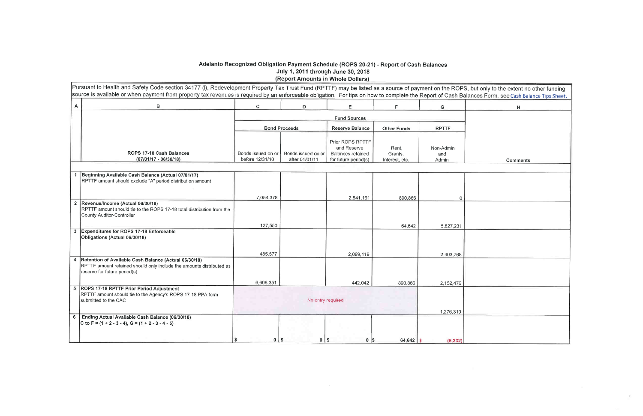# Adelanto Recognized Obligation Payment Schedule (ROPS 20-21) - Report of Cash Balances<br>July 1, 2011 through June 30, 2018<br>(Report Amounts in Whole Dollars)

|   | Pursuant to Health and Safety Code section 34177 (I), Redevelopment Property Tax Trust Fund (RPTTF) may be listed as a source of payment on the ROPS, but<br>source is available or when payment from property tax revenues is required by an enforceable obligation. For tips on how to complete the Report of Cash Baland |                                       |                                      |                                                                                     |                                    |                           |  |
|---|-----------------------------------------------------------------------------------------------------------------------------------------------------------------------------------------------------------------------------------------------------------------------------------------------------------------------------|---------------------------------------|--------------------------------------|-------------------------------------------------------------------------------------|------------------------------------|---------------------------|--|
| A | В                                                                                                                                                                                                                                                                                                                           | $\mathbf C$                           | D                                    | Ε                                                                                   | $\mathsf F$                        | G                         |  |
|   |                                                                                                                                                                                                                                                                                                                             |                                       |                                      | <b>Fund Sources</b>                                                                 |                                    |                           |  |
|   |                                                                                                                                                                                                                                                                                                                             |                                       | <b>Bond Proceeds</b>                 | <b>Reserve Balance</b>                                                              | <b>Other Funds</b>                 | <b>RPTTF</b>              |  |
|   | ROPS 17-18 Cash Balances<br>$(07/01/17 - 06/30/18)$                                                                                                                                                                                                                                                                         | Bonds issued on or<br>before 12/31/10 | Bonds issued on or<br>after 01/01/11 | Prior ROPS RPTTF<br>and Reserve<br><b>Balances retained</b><br>for future period(s) | Rent,<br>Grants,<br>Interest, etc. | Non-Admin<br>and<br>Admin |  |
|   | 1 Beginning Available Cash Balance (Actual 07/01/17)                                                                                                                                                                                                                                                                        |                                       |                                      |                                                                                     |                                    |                           |  |
|   | RPTTF amount should exclude "A" period distribution amount                                                                                                                                                                                                                                                                  |                                       |                                      |                                                                                     |                                    |                           |  |
|   |                                                                                                                                                                                                                                                                                                                             |                                       |                                      |                                                                                     |                                    |                           |  |
|   |                                                                                                                                                                                                                                                                                                                             | 7,054,378                             |                                      | 2,541,161                                                                           | 890,866                            | 0                         |  |
|   | 2 Revenue/Income (Actual 06/30/18)<br>RPTTF amount should tie to the ROPS 17-18 total distribution from the<br>County Auditor-Controller                                                                                                                                                                                    |                                       |                                      |                                                                                     |                                    |                           |  |
|   |                                                                                                                                                                                                                                                                                                                             | 127,550                               |                                      |                                                                                     | 64,642                             | 5,827,231                 |  |
|   | 3 Expenditures for ROPS 17-18 Enforceable<br>Obligations (Actual 06/30/18)                                                                                                                                                                                                                                                  |                                       |                                      |                                                                                     |                                    |                           |  |
|   |                                                                                                                                                                                                                                                                                                                             | 485,577                               |                                      | 2,099,119                                                                           |                                    | 2,403,768                 |  |
| 4 | Retention of Available Cash Balance (Actual 06/30/18)<br>RPTTF amount retained should only include the amounts distributed as<br>reserve for future period(s)                                                                                                                                                               |                                       |                                      |                                                                                     |                                    |                           |  |
|   |                                                                                                                                                                                                                                                                                                                             | 6,696,351                             |                                      | 442.042                                                                             | 890,866                            | 2,152,476                 |  |
|   | 5   ROPS 17-18 RPTTF Prior Period Adjustment<br>RPTTF amount should tie to the Agency's ROPS 17-18 PPA form<br>submitted to the CAC                                                                                                                                                                                         |                                       | No entry required                    |                                                                                     |                                    | 1,276,319                 |  |
| 6 | Ending Actual Available Cash Balance (06/30/18)<br>C to F = $(1 + 2 - 3 - 4)$ , G = $(1 + 2 - 3 - 4 - 5)$                                                                                                                                                                                                                   | \$<br>0 <sup>1</sup>                  | \$<br>$0$   \$                       | $0$   \$                                                                            | $64,642$ \$                        | (5, 332)                  |  |

| but only to the extent no other funding<br>ances Form, see Cash Balance Tips Sheet. |
|-------------------------------------------------------------------------------------|
| Н                                                                                   |
|                                                                                     |
|                                                                                     |
|                                                                                     |
| <b>Comments</b>                                                                     |
|                                                                                     |
|                                                                                     |
|                                                                                     |
|                                                                                     |
|                                                                                     |
|                                                                                     |
|                                                                                     |
|                                                                                     |
|                                                                                     |
|                                                                                     |
|                                                                                     |
|                                                                                     |
|                                                                                     |
|                                                                                     |
|                                                                                     |